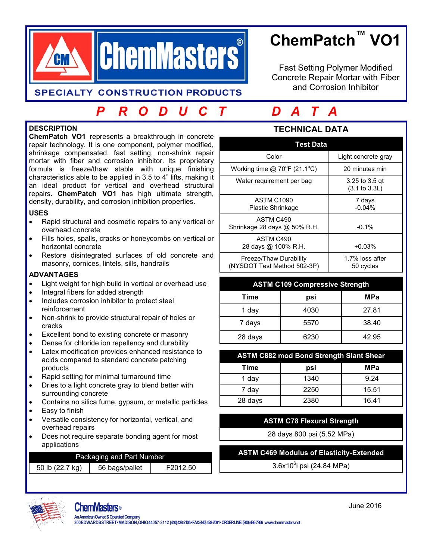

# **ChemPatch™ VO1**

Fast Setting Polymer Modified Concrete Repair Mortar with Fiber and Corrosion Inhibitor

## **SPECIALTY CONSTRUCTION PRODUCTS**

# *P R O D U C T D A T A*

## **DESCRIPTION**

**ChemPatch VO1** represents a breakthrough in concrete repair technology. It is one component, polymer modified, shrinkage compensated, fast setting, non-shrink repair mortar with fiber and corrosion inhibitor. Its proprietary formula is freeze/thaw stable with unique finishing characteristics able to be applied in 3.5 to 4" lifts, making it an ideal product for vertical and overhead structural repairs. **ChemPatch VO1** has high ultimate strength, density, durability, and corrosion inhibition properties.

#### **USES**

- Rapid structural and cosmetic repairs to any vertical or overhead concrete
- Fills holes, spalls, cracks or honeycombs on vertical or horizontal concrete
- Restore disintegrated surfaces of old concrete and masonry, cornices, lintels, sills, handrails

### **ADVANTAGES**

- Light weight for high build in vertical or overhead use
- Integral fibers for added strength
- Includes corrosion inhibitor to protect steel reinforcement
- Non-shrink to provide structural repair of holes or cracks
- Excellent bond to existing concrete or masonry
- Dense for chloride ion repellency and durability
- Latex modification provides enhanced resistance to acids compared to standard concrete patching products
- Rapid setting for minimal turnaround time
- Dries to a light concrete gray to blend better with surrounding concrete
- Contains no silica fume, gypsum, or metallic particles
- Easy to finish
- Versatile consistency for horizontal, vertical, and overhead repairs
- Does not require separate bonding agent for most applications

## Packaging and Part Number

| 56 bags/pallet<br>50 lb (22.7 kg)<br>F2012.50 |
|-----------------------------------------------|
|-----------------------------------------------|

## **TECHNICAL DATA**

| <b>Test Data</b>                                      |                                            |  |
|-------------------------------------------------------|--------------------------------------------|--|
| Color                                                 | Light concrete gray                        |  |
| Working time $@$ 70°F (21.1°C)                        | 20 minutes min                             |  |
| Water requirement per bag                             | 3.25 to 3.5 gt<br>$(3.1 \text{ to } 3.3L)$ |  |
| <b>ASTM C1090</b><br><b>Plastic Shrinkage</b>         | 7 days<br>$-0.04%$                         |  |
| ASTM C490<br>Shrinkage 28 days @ 50% R.H.             | $-0.1\%$                                   |  |
| ASTM C490<br>28 days @ 100% R.H.                      | $+0.03%$                                   |  |
| Freeze/Thaw Durability<br>(NYSDOT Test Method 502-3P) | 1.7% loss after<br>50 cycles               |  |

| <b>ASTM C109 Compressive Strength</b> |      |            |  |
|---------------------------------------|------|------------|--|
| Time                                  | psi  | <b>MPa</b> |  |
| 1 day                                 | 4030 | 27.81      |  |
| 7 days                                | 5570 | 38.40      |  |
| 28 days                               | 6230 | 42.95      |  |

### **ASTM C882 mod Bond Strength Slant Shear**

| Time    | psi  | <b>MPa</b> |
|---------|------|------------|
| 1 day   | 1340 | 9.24       |
| 7 day   | 2250 | 15.51      |
| 28 days | 2380 | 16.41      |

# **ASTM C78 Flexural Strength**

28 days 800 psi (5.52 MPa)

### **ASTM C469 Modulus of Elasticity-Extended**

3.6x10<sup>6</sup>i psi (24.84 MPa)